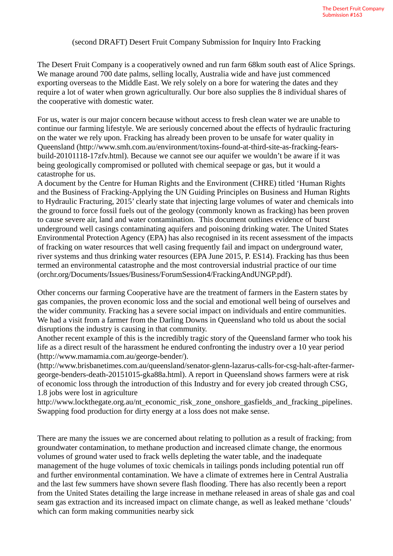## (second DRAFT) Desert Fruit Company Submission for Inquiry Into Fracking

The Desert Fruit Company is a cooperatively owned and run farm 68km south east of Alice Springs. We manage around 700 date palms, selling locally, Australia wide and have just commenced exporting overseas to the Middle East. We rely solely on a bore for watering the dates and they require a lot of water when grown agriculturally. Our bore also supplies the 8 individual shares of the cooperative with domestic water.

For us, water is our major concern because without access to fresh clean water we are unable to continue our farming lifestyle. We are seriously concerned about the effects of hydraulic fracturing on the water we rely upon. Fracking has already been proven to be unsafe for water quality in Queensland (http://www.smh.com.au/environment/toxins-found-at-third-site-as-fracking-fearsbuild-20101118-17zfv.html). Because we cannot see our aquifer we wouldn't be aware if it was being geologically compromised or polluted with chemical seepage or gas, but it would a catastrophe for us.

A document by the Centre for Human Rights and the Environment (CHRE) titled 'Human Rights and the Business of Fracking-Applying the UN Guiding Principles on Business and Human Rights to Hydraulic Fracturing, 2015' clearly state that injecting large volumes of water and chemicals into the ground to force fossil fuels out of the geology (commonly known as fracking) has been proven to cause severe air, land and water contamination. This document outlines evidence of burst underground well casings contaminating aquifers and poisoning drinking water. The United States Environmental Protection Agency (EPA) has also recognised in its recent assessment of the impacts of fracking on water resources that well casing frequently fail and impact on underground water, river systems and thus drinking water resources (EPA June 2015, P. ES14). Fracking has thus been termed an environmental catastrophe and the most controversial industrial practice of our time (orchr.org/Documents/Issues/Business/ForumSession4/FrackingAndUNGP.pdf).

Other concerns our farming Cooperative have are the treatment of farmers in the Eastern states by gas companies, the proven economic loss and the social and emotional well being of ourselves and the wider community. Fracking has a severe social impact on individuals and entire communities. We had a visit from a farmer from the Darling Downs in Queensland who told us about the social disruptions the industry is causing in that community.

Another recent example of this is the incredibly tragic story of the Queensland farmer who took his life as a direct result of the harassment he endured confronting the industry over a 10 year period (http://www.mamamia.com.au/george-bender/).

(http://www.brisbanetimes.com.au/queensland/senator-glenn-lazarus-calls-for-csg-halt-after-farmergeorge-benders-death-20151015-gka88a.html). A report in Queensland shows farmers were at risk of economic loss through the introduction of this Industry and for every job created through CSG, 1.8 jobs were lost in agriculture

http://www.lockthegate.org.au/nt\_economic\_risk\_zone\_onshore\_gasfields\_and\_fracking\_pipelines. Swapping food production for dirty energy at a loss does not make sense.

There are many the issues we are concerned about relating to pollution as a result of fracking; from groundwater contamination, to methane production and increased climate change, the enormous volumes of ground water used to frack wells depleting the water table, and the inadequate management of the huge volumes of toxic chemicals in tailings ponds including potential run off and further environmental contamination. We have a climate of extremes here in Central Australia and the last few summers have shown severe flash flooding. There has also recently been a report from the United States detailing the large increase in methane released in areas of shale gas and coal seam gas extraction and its increased impact on climate change, as well as leaked methane 'clouds' which can form making communities nearby sick